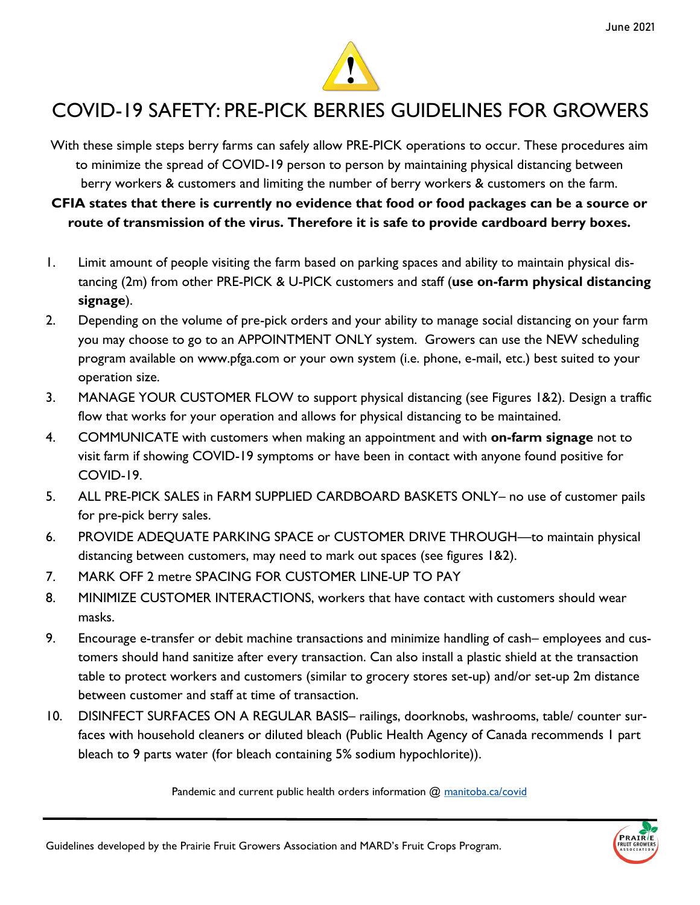

## COVID-19 SAFETY: PRE-PICK BERRIES GUIDELINES FOR GROWERS

With these simple steps berry farms can safely allow PRE-PICK operations to occur. These procedures aim to minimize the spread of COVID-19 person to person by maintaining physical distancing between berry workers & customers and limiting the number of berry workers & customers on the farm.

**CFIA states that there is currently no evidence that food or food packages can be a source or route of transmission of the virus. Therefore it is safe to provide cardboard berry boxes.**

- 1. Limit amount of people visiting the farm based on parking spaces and ability to maintain physical distancing (2m) from other PRE-PICK & U-PICK customers and staff (**use on-farm physical distancing signage**).
- 2. Depending on the volume of pre-pick orders and your ability to manage social distancing on your farm you may choose to go to an APPOINTMENT ONLY system. Growers can use the NEW scheduling program available on www.pfga.com or your own system (i.e. phone, e-mail, etc.) best suited to your operation size.
- 3. MANAGE YOUR CUSTOMER FLOW to support physical distancing (see Figures 1&2). Design a traffic flow that works for your operation and allows for physical distancing to be maintained.
- 4. COMMUNICATE with customers when making an appointment and with **on-farm signage** not to visit farm if showing COVID-19 symptoms or have been in contact with anyone found positive for COVID-19.
- 5. ALL PRE-PICK SALES in FARM SUPPLIED CARDBOARD BASKETS ONLY– no use of customer pails for pre-pick berry sales.
- 6. PROVIDE ADEQUATE PARKING SPACE or CUSTOMER DRIVE THROUGH—to maintain physical distancing between customers, may need to mark out spaces (see figures 1&2).
- 7. MARK OFF 2 metre SPACING FOR CUSTOMER LINE-UP TO PAY
- 8. MINIMIZE CUSTOMER INTERACTIONS, workers that have contact with customers should wear masks.
- 9. Encourage e-transfer or debit machine transactions and minimize handling of cash– employees and customers should hand sanitize after every transaction. Can also install a plastic shield at the transaction table to protect workers and customers (similar to grocery stores set-up) and/or set-up 2m distance between customer and staff at time of transaction.
- 10. DISINFECT SURFACES ON A REGULAR BASIS– railings, doorknobs, washrooms, table/ counter surfaces with household cleaners or diluted bleach (Public Health Agency of Canada recommends 1 part bleach to 9 parts water (for bleach containing 5% sodium hypochlorite)).

Pandemic and current public health orders information @ manitoba.ca/covid